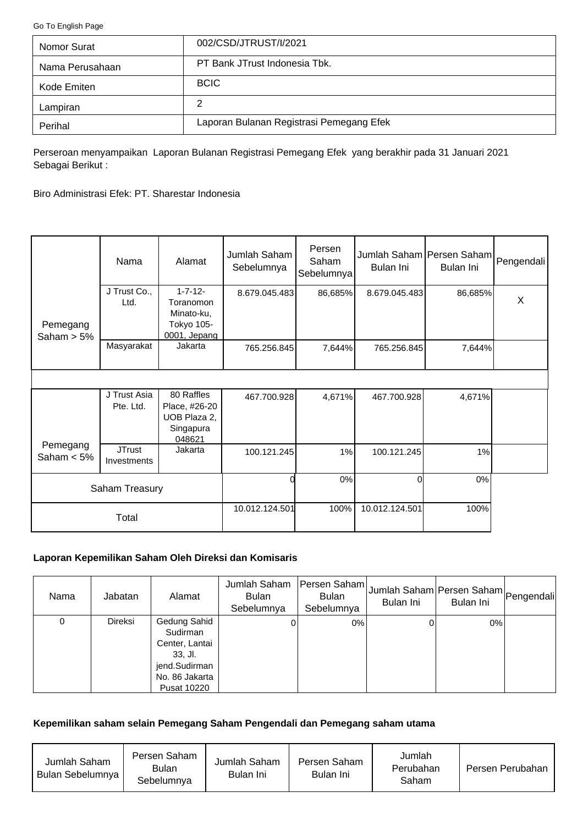<span id="page-0-0"></span>[Go To English Page](#page-2-0)

| Nomor Surat     | 002/CSD/JTRUST/I/2021                    |
|-----------------|------------------------------------------|
| Nama Perusahaan | PT Bank JTrust Indonesia Tbk.            |
| Kode Emiten     | <b>BCIC</b>                              |
| Lampiran        | 2                                        |
| Perihal         | Laporan Bulanan Registrasi Pemegang Efek |

Perseroan menyampaikan Laporan Bulanan Registrasi Pemegang Efek yang berakhir pada 31 Januari 2021 Sebagai Berikut :

Biro Administrasi Efek: PT. Sharestar Indonesia

|                           | Nama                         | Alamat                                                                  | Jumlah Saham<br>Sebelumnya | Persen<br>Saham<br>Sebelumnya | Jumlah Saham Persen Saham Pengendali<br>Bulan Ini | Bulan Ini |   |
|---------------------------|------------------------------|-------------------------------------------------------------------------|----------------------------|-------------------------------|---------------------------------------------------|-----------|---|
| Pemegang<br>Saham $> 5\%$ | J Trust Co.,<br>Ltd.         | $1 - 7 - 12 -$<br>Toranomon<br>Minato-ku,<br>Tokyo 105-<br>0001, Jepang | 8.679.045.483              | 86,685%                       | 8.679.045.483                                     | 86,685%   | X |
|                           | Masyarakat                   | Jakarta                                                                 | 765.256.845                | 7,644%                        | 765.256.845                                       | 7,644%    |   |
|                           |                              |                                                                         |                            |                               |                                                   |           |   |
|                           | J Trust Asia<br>Pte. Ltd.    | 80 Raffles<br>Place, #26-20<br>UOB Plaza 2,<br>Singapura<br>048621      | 467.700.928                | 4,671%                        | 467.700.928                                       | 4,671%    |   |
| Pemegang<br>Saham $< 5\%$ | <b>JTrust</b><br>Investments | Jakarta                                                                 | 100.121.245                | 1%                            | 100.121.245                                       | 1%        |   |
| Saham Treasury            |                              |                                                                         | 0%                         | Οl                            | 0%                                                |           |   |
|                           | Total                        |                                                                         | 10.012.124.501             | 100%                          | 10.012.124.501                                    | 100%      |   |

# **Laporan Kepemilikan Saham Oleh Direksi dan Komisaris**

| Nama | Jabatan        | Alamat                                                                                                    | Jumlah Saham<br><b>Bulan</b><br>Sebelumnya | Persen Saham<br><b>Bulan</b><br>Sebelumnya | Jumlah Saham Persen Saham Pengendali<br>Bulan Ini | Bulan Ini |  |
|------|----------------|-----------------------------------------------------------------------------------------------------------|--------------------------------------------|--------------------------------------------|---------------------------------------------------|-----------|--|
| 0    | <b>Direksi</b> | Gedung Sahid<br>Sudirman<br>Center, Lantai<br>$33.$ Jl.<br>jend.Sudirman<br>No. 86 Jakarta<br>Pusat 10220 |                                            | 0%                                         |                                                   | $0\%$     |  |

### **Kepemilikan saham selain Pemegang Saham Pengendali dan Pemegang saham utama**

| Jumlah Saham<br>Bulan Sebelumnya | Persen Saham<br>Bulan<br>Sebelumnya | Jumlah Saham<br>Bulan Ini | Persen Saham<br>Bulan Ini | Jumlah<br>Perubahan<br>Saham | Persen Perubahan |
|----------------------------------|-------------------------------------|---------------------------|---------------------------|------------------------------|------------------|
|----------------------------------|-------------------------------------|---------------------------|---------------------------|------------------------------|------------------|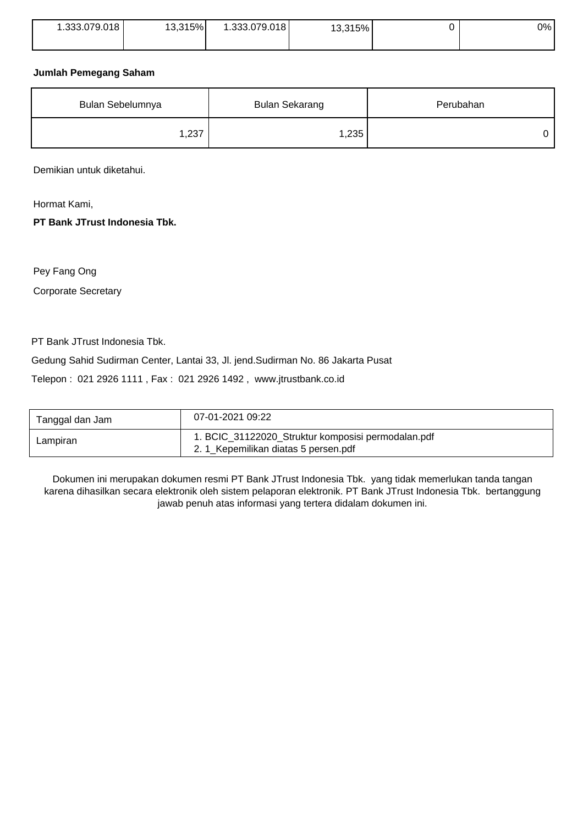| .333.079.018 | 13,315% | 1.333.079.018 | 13,315% | $0\%$ |
|--------------|---------|---------------|---------|-------|
|              |         |               |         |       |

### **Jumlah Pemegang Saham**

| Bulan Sebelumnya | Bulan Sekarang | Perubahan |  |
|------------------|----------------|-----------|--|
| 1,237            | 1,235          |           |  |

Demikian untuk diketahui.

Hormat Kami,

**PT Bank JTrust Indonesia Tbk.**

Pey Fang Ong

Corporate Secretary

PT Bank JTrust Indonesia Tbk.

Gedung Sahid Sudirman Center, Lantai 33, Jl. jend.Sudirman No. 86 Jakarta Pusat

Telepon : 021 2926 1111 , Fax : 021 2926 1492 , www.jtrustbank.co.id

| Tanggal dan Jam | 07-01-2021 09:22                                                                           |
|-----------------|--------------------------------------------------------------------------------------------|
| Lampiran        | 1. BCIC_31122020_Struktur komposisi permodalan.pdf<br>2. 1_Kepemilikan diatas 5 persen.pdf |

Dokumen ini merupakan dokumen resmi PT Bank JTrust Indonesia Tbk. yang tidak memerlukan tanda tangan karena dihasilkan secara elektronik oleh sistem pelaporan elektronik. PT Bank JTrust Indonesia Tbk. bertanggung jawab penuh atas informasi yang tertera didalam dokumen ini.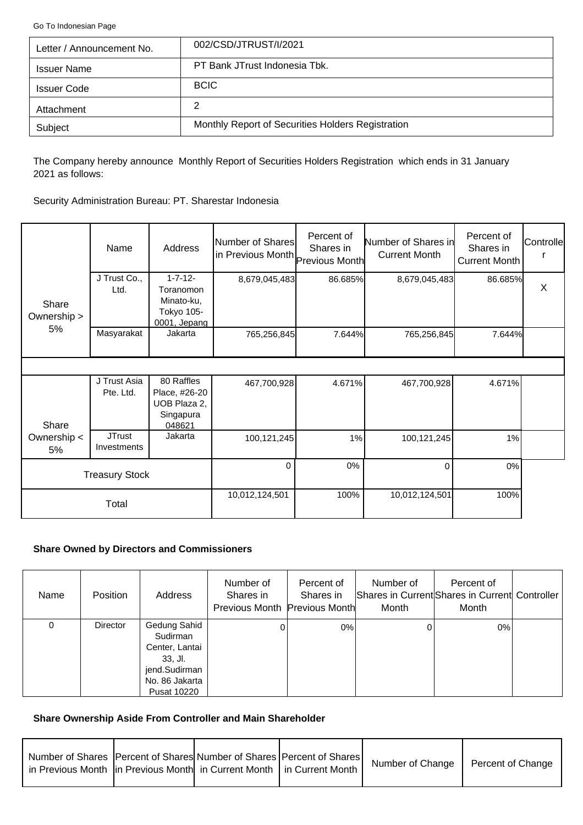<span id="page-2-0"></span>[Go To Indonesian Page](#page-0-0)

| Letter / Announcement No. | 002/CSD/JTRUST/I/2021                             |
|---------------------------|---------------------------------------------------|
| <b>Issuer Name</b>        | PT Bank JTrust Indonesia Tbk.                     |
| <b>Issuer Code</b>        | <b>BCIC</b>                                       |
| Attachment                | 2                                                 |
| Subject                   | Monthly Report of Securities Holders Registration |

The Company hereby announce Monthly Report of Securities Holders Registration which ends in 31 January 2021 as follows:

Security Administration Bureau: PT. Sharestar Indonesia

|                      | Name                         | Address                                                                 | Number of Shares<br>in Previous Month Previous Month | Percent of<br>Shares in | Number of Shares in<br><b>Current Month</b> | Percent of<br>Shares in<br>Current Month | Controlle |
|----------------------|------------------------------|-------------------------------------------------------------------------|------------------------------------------------------|-------------------------|---------------------------------------------|------------------------------------------|-----------|
| Share<br>Ownership > | J Trust Co.,<br>Ltd.         | $1 - 7 - 12 -$<br>Toranomon<br>Minato-ku,<br>Tokyo 105-<br>0001, Jepang | 8,679,045,483                                        | 86.685%                 | 8,679,045,483                               | 86.685%                                  | $\times$  |
| 5%                   | Masyarakat                   | Jakarta                                                                 | 765,256,845                                          | 7.644%                  | 765,256,845                                 | 7.644%                                   |           |
|                      |                              |                                                                         |                                                      |                         |                                             |                                          |           |
| Share                | J Trust Asia<br>Pte. Ltd.    | 80 Raffles<br>Place, #26-20<br>UOB Plaza 2,<br>Singapura<br>048621      | 467,700,928                                          | 4.671%                  | 467,700,928                                 | 4.671%                                   |           |
| Ownership <<br>5%    | <b>JTrust</b><br>Investments | Jakarta                                                                 | 100,121,245                                          | 1%                      | 100,121,245                                 | 1%                                       |           |
|                      | <b>Treasury Stock</b>        |                                                                         | $\Omega$                                             | 0%                      | $\Omega$                                    | 0%                                       |           |
|                      | Total                        |                                                                         | 10,012,124,501                                       | 100%                    | 10,012,124,501                              | 100%                                     |           |

## **Share Owned by Directors and Commissioners**

| Name | <b>Position</b> | Address                                                                                                          | Number of<br>Shares in<br>Previous Month Previous Month | Percent of<br>Shares in | Number of<br>Month | Percent of<br>Shares in Current Shares in Current Controller<br>Month |  |
|------|-----------------|------------------------------------------------------------------------------------------------------------------|---------------------------------------------------------|-------------------------|--------------------|-----------------------------------------------------------------------|--|
| 0    | <b>Director</b> | Gedung Sahid<br>Sudirman<br>Center, Lantai<br>$33.$ Jl.<br>jend.Sudirman<br>No. 86 Jakarta<br><b>Pusat 10220</b> |                                                         | 0%                      |                    | 0%                                                                    |  |

## **Share Ownership Aside From Controller and Main Shareholder**

| Number of Shares   Percent of Shares  Number of Shares   Percent of Shares  <br>in Previous Month  in Previous Month  in Current Month   in Current Month |  | Number of Change | Percent of Change |
|-----------------------------------------------------------------------------------------------------------------------------------------------------------|--|------------------|-------------------|
|                                                                                                                                                           |  |                  |                   |